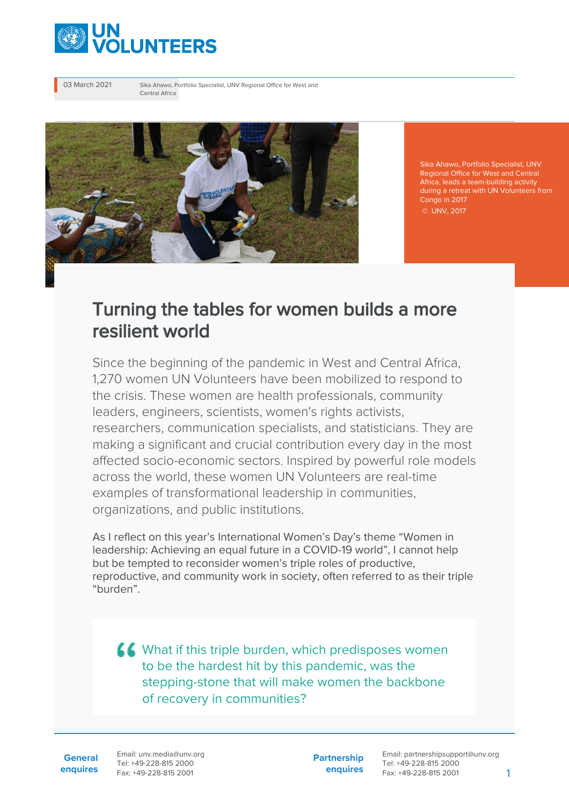

03 March 2021 Sika Ahawo, Portfolio Specialist, UNV Regional Office for West and Central Africa



Sika Ahawo, Portfolio Specialist, UNV Regional Office for West and Central Africa, leads a team-building activity during a retreat with UN Volunteers from Congo in 2017 © UNV, 2017

## Turning the tables for women builds a more resilient world

Since the beginning of the pandemic in West and Central Africa, 1,270 women UN Volunteers have been mobilized to respond to the crisis. These women are health professionals, community leaders, engineers, scientists, women's rights activists, researchers, communication specialists, and statisticians. They are making a significant and crucial contribution every day in the most affected socio-economic sectors. Inspired by powerful role models across the world, these women UN Volunteers are real-time examples of transformational leadership in communities, organizations, and public institutions.

As I reflect on this year's International Women's Day's theme "Women in leadership: Achieving an equal future in a COVID-19 world", I cannot help but be tempted to reconsider women's triple roles of productive, reproductive, and community work in society, often referred to as their triple "burden".

KK What if this triple burden, which predisposes women to be the hardest hit by this pandemic, was the stepping-stone that will make women the backbone of recovery in communities?

**General enquires** Email: unv.media@unv.org Tel: +49-228-815 2000 Fax: +49-228-815 2001

**Partnership enquires** Email: partnershipsupport@unv.org Tel: +49-228-815 2000 Fax: +49-228-815 2001 1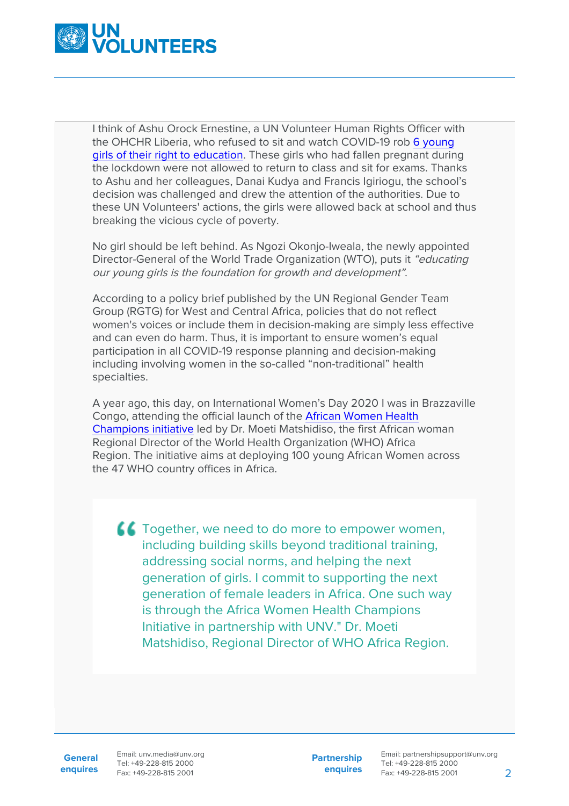

I think of Ashu Orock Ernestine, a UN Volunteer Human Rights Officer with the OHCHR Liberia, who refused to sit and watch COVID-19 rob [6 young](https://www.unv.org/Success-stories/UN-Volunteers-stand-others-during-COVID-19) [girls of their right to education.](https://www.unv.org/Success-stories/UN-Volunteers-stand-others-during-COVID-19) These girls who had fallen pregnant during the lockdown were not allowed to return to class and sit for exams. Thanks to Ashu and her colleagues, Danai Kudya and Francis Igiriogu, the school's decision was challenged and drew the attention of the authorities. Due to these UN Volunteers' actions, the girls were allowed back at school and thus breaking the vicious cycle of poverty.

No girl should be left behind. As Ngozi Okonjo-Iweala, the newly appointed Director-General of the World Trade Organization (WTO), puts it "educating our young girls is the foundation for growth and development".

According to a policy brief published by the UN Regional Gender Team Group (RGTG) for West and Central Africa, policies that do not reflect women's voices or include them in decision-making are simply less effective and can even do harm. Thus, it is important to ensure women's equal participation in all COVID-19 response planning and decision-making including involving women in the so-called "non-traditional" health specialties.

A year ago, this day, on International Women's Day 2020 I was in Brazzaville Congo, attending the official launch of the [African Women Health](https://www.unv.org/News/Africa-Women-Health-Champions-improve-health-and-gender-equality) [Champions initiative](https://www.unv.org/News/Africa-Women-Health-Champions-improve-health-and-gender-equality) led by Dr. Moeti Matshidiso, the first African woman Regional Director of the World Health Organization (WHO) Africa Region. The initiative aims at deploying 100 young African Women across the 47 WHO country offices in Africa.

**CC** Together, we need to do more to empower women, including building skills beyond traditional training, addressing social norms, and helping the next generation of girls. I commit to supporting the next generation of female leaders in Africa. One such way is through the Africa Women Health Champions Initiative in partnership with UNV." Dr. Moeti Matshidiso, Regional Director of WHO Africa Region.

General Email: unv.media@unv.org **enquires** Fax: +49-228-815 2001 Tel: +49-228-815 2000

**Partnership enquires**

Email: partnershipsupport@unv.org Tel: +49-228-815 2000 Fax: +49-228-815 2001 2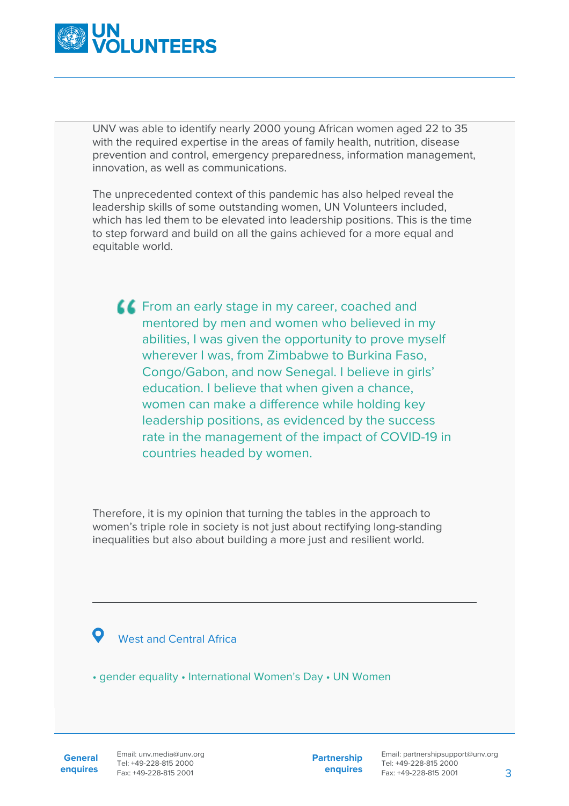

UNV was able to identify nearly 2000 young African women aged 22 to 35 with the required expertise in the areas of family health, nutrition, disease prevention and control, emergency preparedness, information management, innovation, as well as communications.

The unprecedented context of this pandemic has also helped reveal the leadership skills of some outstanding women, UN Volunteers included, which has led them to be elevated into leadership positions. This is the time to step forward and build on all the gains achieved for a more equal and equitable world.

**FROM AND EXAMPLE 2018 12 STARK IN A FROM AND FIGURER** 1. COAChed and mentored by men and women who believed in my abilities, I was given the opportunity to prove myself wherever I was, from Zimbabwe to Burkina Faso, Congo/Gabon, and now Senegal. I believe in girls' education. I believe that when given a chance, women can make a difference while holding key leadership positions, as evidenced by the success rate in the management of the impact of COVID-19 in countries headed by women.

Therefore, it is my opinion that turning the tables in the approach to women's triple role in society is not just about rectifying long-standing inequalities but also about building a more just and resilient world.

## West and Central Africa

• gender equality • International Women's Day • UN Women

**Partnership enquires**